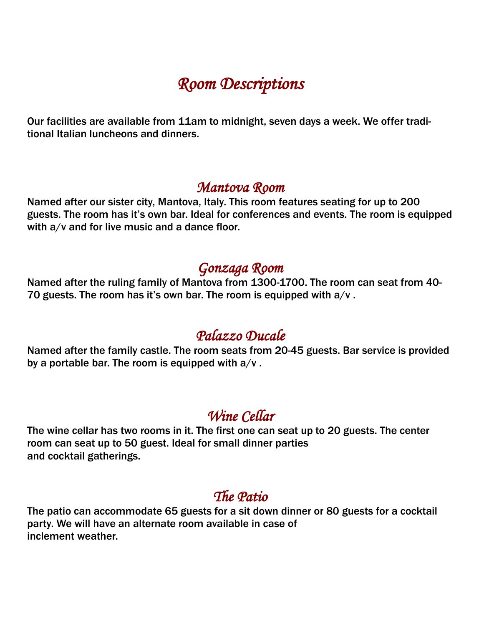# *Room Descriptions*

Our facilities are available from 11am to midnight, seven days a week. We offer traditional Italian luncheons and dinners.

#### *Mantova Room*

Named after our sister city, Mantova, Italy. This room features seating for up to 200 guests. The room has it's own bar. Ideal for conferences and events. The room is equipped with  $a/v$  and for live music and a dance floor.

### *Gonzaga Room*

Named after the ruling family of Mantova from 1300-1700. The room can seat from 40- 70 guests. The room has it's own bar. The room is equipped with  $a/v$ .

## *Palazzo Ducale*

Named after the family castle. The room seats from 20-45 guests. Bar service is provided by a portable bar. The room is equipped with  $a/v$ .

### *Wine Cellar*

The wine cellar has two rooms in it. The first one can seat up to 20 guests. The center room can seat up to 50 guest. Ideal for small dinner parties and cocktail gatherings.

## *The Patio*

The patio can accommodate 65 guests for a sit down dinner or 80 guests for a cocktail party. We will have an alternate room available in case of inclement weather.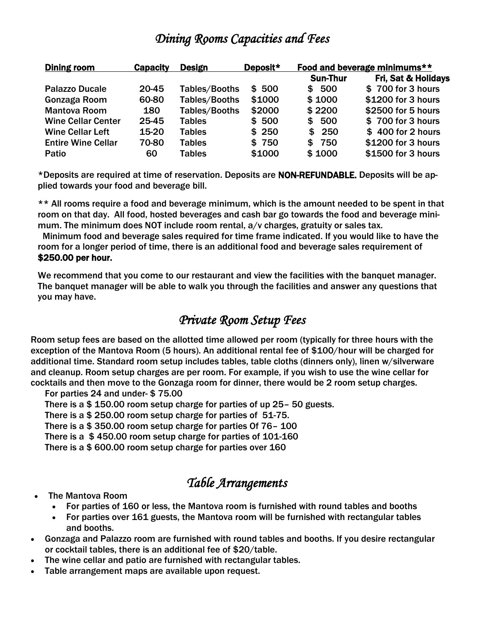### *Dining Rooms Capacities and Fees*

| Dining room               | <b>Capacity</b> | <b>Design</b> | Deposit* | Food and beverage minimums** |                     |
|---------------------------|-----------------|---------------|----------|------------------------------|---------------------|
|                           |                 |               |          | <b>Sun-Thur</b>              | Fri, Sat & Holidays |
| <b>Palazzo Ducale</b>     | 20-45           | Tables/Booths | \$500    | \$500                        | \$700 for 3 hours   |
| Gonzaga Room              | 60-80           | Tables/Booths | \$1000   | \$1000                       | \$1200 for 3 hours  |
| <b>Mantova Room</b>       | 180             | Tables/Booths | \$2000   | \$2200                       | \$2500 for 5 hours  |
| <b>Wine Cellar Center</b> | 25-45           | <b>Tables</b> | \$500    | \$500                        | \$700 for 3 hours   |
| <b>Wine Cellar Left</b>   | 15-20           | <b>Tables</b> | \$250    | 250<br>\$.                   | \$400 for 2 hours   |
| <b>Entire Wine Cellar</b> | 70-80           | <b>Tables</b> | \$750    | 750<br>\$.                   | \$1200 for 3 hours  |
| Patio                     | 60              | <b>Tables</b> | \$1000   | \$1000                       | \$1500 for 3 hours  |

\*Deposits are required at time of reservation. Deposits are NON-REFUNDABLE. Deposits will be applied towards your food and beverage bill.

\*\* All rooms require a food and beverage minimum, which is the amount needed to be spent in that room on that day. All food, hosted beverages and cash bar go towards the food and beverage minimum. The minimum does NOT include room rental, a/v charges, gratuity or sales tax.

 Minimum food and beverage sales required for time frame indicated. If you would like to have the room for a longer period of time, there is an additional food and beverage sales requirement of \$250.00 per hour.

We recommend that you come to our restaurant and view the facilities with the banquet manager. The banquet manager will be able to walk you through the facilities and answer any questions that you may have.

#### *Private Room Setup Fees*

Room setup fees are based on the allotted time allowed per room (typically for three hours with the exception of the Mantova Room (5 hours). An additional rental fee of \$100/hour will be charged for additional time. Standard room setup includes tables, table cloths (dinners only), linen w/silverware and cleanup. Room setup charges are per room. For example, if you wish to use the wine cellar for cocktails and then move to the Gonzaga room for dinner, there would be 2 room setup charges.

For parties 24 and under- \$ 75.00

There is a \$ 150.00 room setup charge for parties of up 25– 50 guests.

There is a \$ 250.00 room setup charge for parties of 51-75.

There is a \$ 350.00 room setup charge for parties Of 76– 100

There is a \$ 450.00 room setup charge for parties of 101-160

There is a \$ 600.00 room setup charge for parties over 160

### *Table Arrangements*

- The Mantova Room
	- For parties of 160 or less, the Mantova room is furnished with round tables and booths
	- For parties over 161 guests, the Mantova room will be furnished with rectangular tables and booths.
- Gonzaga and Palazzo room are furnished with round tables and booths. If you desire rectangular or cocktail tables, there is an additional fee of \$20/table.
- The wine cellar and patio are furnished with rectangular tables.
- Table arrangement maps are available upon request.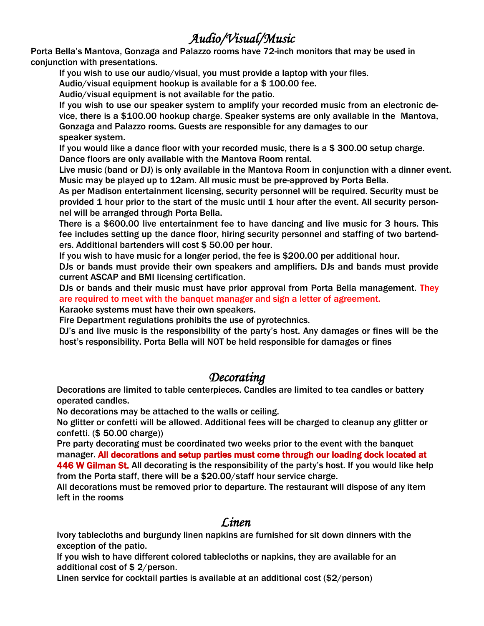### *Audio/Visual/Music*

Porta Bella's Mantova, Gonzaga and Palazzo rooms have 72-inch monitors that may be used in conjunction with presentations.

If you wish to use our audio/visual, you must provide a laptop with your files.

Audio/visual equipment hookup is available for a \$ 100.00 fee.

Audio/visual equipment is not available for the patio.

 If you wish to use our speaker system to amplify your recorded music from an electronic device, there is a \$100.00 hookup charge. Speaker systems are only available in the Mantova, Gonzaga and Palazzo rooms. Guests are responsible for any damages to our speaker system.

If you would like a dance floor with your recorded music, there is a \$ 300.00 setup charge. Dance floors are only available with the Mantova Room rental.

Live music (band or DJ) is only available in the Mantova Room in conjunction with a dinner event. Music may be played up to 12am. All music must be pre-approved by Porta Bella.

As per Madison entertainment licensing, security personnel will be required. Security must be provided 1 hour prior to the start of the music until 1 hour after the event. All security personnel will be arranged through Porta Bella.

There is a \$600.00 live entertainment fee to have dancing and live music for 3 hours. This fee includes setting up the dance floor, hiring security personnel and staffing of two bartenders. Additional bartenders will cost \$ 50.00 per hour.

If you wish to have music for a longer period, the fee is \$200.00 per additional hour.

DJs or bands must provide their own speakers and amplifiers. DJs and bands must provide current ASCAP and BMI licensing certification.

 DJs or bands and their music must have prior approval from Porta Bella management. They are required to meet with the banquet manager and sign a letter of agreement.

Karaoke systems must have their own speakers.

Fire Department regulations prohibits the use of pyrotechnics.

 DJ's and live music is the responsibility of the party's host. Any damages or fines will be the host's responsibility. Porta Bella will NOT be held responsible for damages or fines

#### *Decorating*

 Decorations are limited to table centerpieces. Candles are limited to tea candles or battery operated candles.

No decorations may be attached to the walls or ceiling.

 No glitter or confetti will be allowed. Additional fees will be charged to cleanup any glitter or confetti. (\$ 50.00 charge))

 Pre party decorating must be coordinated two weeks prior to the event with the banquet manager. All decorations and setup parties must come through our loading dock located at 446 W Gilman St. All decorating is the responsibility of the party's host. If you would like help

 from the Porta staff, there will be a \$20.00/staff hour service charge. All decorations must be removed prior to departure. The restaurant will dispose of any item left in the rooms

#### *Linen Linen*

 Ivory tablecloths and burgundy linen napkins are furnished for sit down dinners with the exception of the patio.

 If you wish to have different colored tablecloths or napkins, they are available for an additional cost of \$ 2/person.

Linen service for cocktail parties is available at an additional cost (\$2/person)